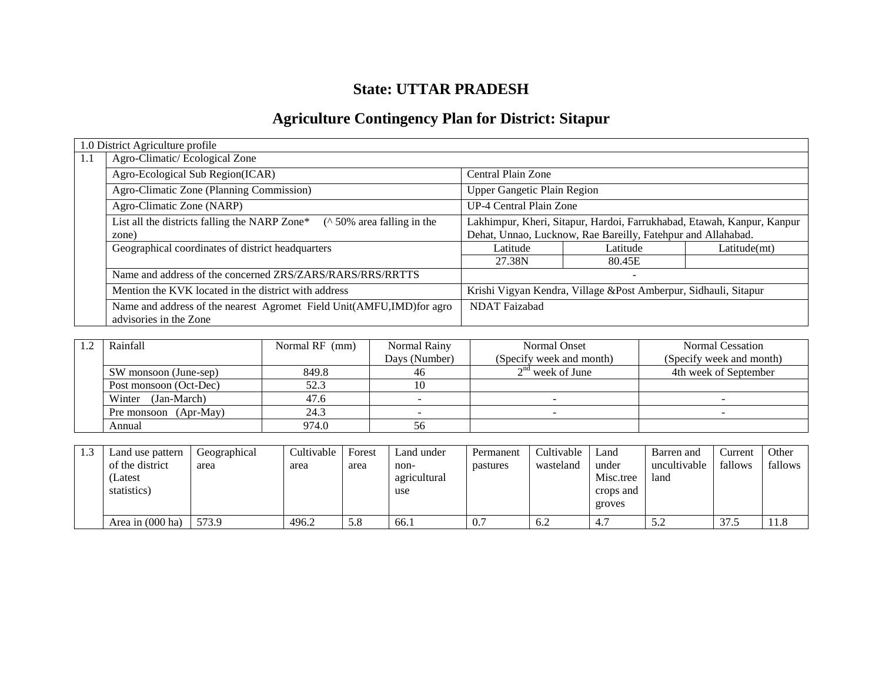# **State: UTTAR PRADESH**

# **Agriculture Contingency Plan for District: Sitapur**

|     | 1.0 District Agriculture profile                                                               |                                                                        |          |              |  |  |  |
|-----|------------------------------------------------------------------------------------------------|------------------------------------------------------------------------|----------|--------------|--|--|--|
| 1.1 | Agro-Climatic/Ecological Zone                                                                  |                                                                        |          |              |  |  |  |
|     | Agro-Ecological Sub Region(ICAR)                                                               | Central Plain Zone                                                     |          |              |  |  |  |
|     | Agro-Climatic Zone (Planning Commission)                                                       | <b>Upper Gangetic Plain Region</b>                                     |          |              |  |  |  |
|     | Agro-Climatic Zone (NARP)                                                                      | UP-4 Central Plain Zone                                                |          |              |  |  |  |
|     | List all the districts falling the NARP Zone* $(\wedge 50\%$ area falling in the               | Lakhimpur, Kheri, Sitapur, Hardoi, Farrukhabad, Etawah, Kanpur, Kanpur |          |              |  |  |  |
|     | zone)                                                                                          | Dehat, Unnao, Lucknow, Rae Bareilly, Fatehpur and Allahabad.           |          |              |  |  |  |
|     | Geographical coordinates of district headquarters                                              | Latitude                                                               | Latitude | Latitude(mt) |  |  |  |
|     |                                                                                                | 27.38N                                                                 | 80.45E   |              |  |  |  |
|     | Name and address of the concerned ZRS/ZARS/RARS/RRS/RRTTS                                      |                                                                        |          |              |  |  |  |
|     | Mention the KVK located in the district with address                                           | Krishi Vigyan Kendra, Village & Post Amberpur, Sidhauli, Sitapur       |          |              |  |  |  |
|     | Name and address of the nearest Agromet Field Unit(AMFU,IMD)for agro<br>advisories in the Zone | <b>NDAT Faizabad</b>                                                   |          |              |  |  |  |

| Rainfall               | Normal RF (mm) | Normal Rainy  | Normal Onset             | Normal Cessation         |
|------------------------|----------------|---------------|--------------------------|--------------------------|
|                        |                | Days (Number) | (Specify week and month) | (Specify week and month) |
| SW monsoon (June-sep)  | 849.8          | 46            | $2nd$ week of June       | 4th week of September    |
| Post monsoon (Oct-Dec) | 52.3           |               |                          |                          |
| (Jan-March)<br>Winter  | 47.6           |               |                          |                          |
| Pre monsoon (Apr-May)  | 24.3           |               |                          |                          |
| Annual                 | 974.0          | 56            |                          |                          |

| 1.3 | Land use pattern<br>of the district<br>(Latest<br>statistics) | Geographical<br>area | <b>Cultivable</b><br>area | Forest<br>area | Land under<br>non-<br>agricultural<br>use | Permanent<br>pastures | Cultivable<br>wasteland | Land<br>under<br>Misc.tree<br>crops and<br>groves | Barren and<br>uncultivable<br>land | Current<br>fallows | Other<br>fallows |
|-----|---------------------------------------------------------------|----------------------|---------------------------|----------------|-------------------------------------------|-----------------------|-------------------------|---------------------------------------------------|------------------------------------|--------------------|------------------|
|     | Area in (000 ha)                                              | 573.9                | 496.2                     | 5.8            | 66.1                                      | 0.7                   | 6.2                     | 4.1                                               | 5.2                                | 37.5               | 11.8             |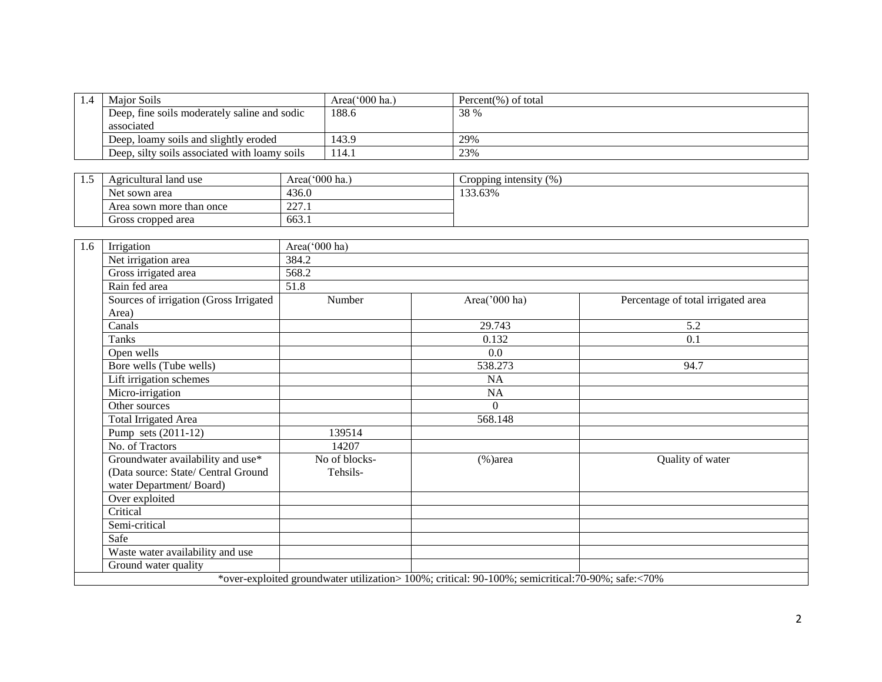| 1.4 | Maior Soils                                   | Area $(000 \text{ ha.})$ | Percent(%) of total |
|-----|-----------------------------------------------|--------------------------|---------------------|
|     | Deep, fine soils moderately saline and sodic  | 188.6                    | 38 %                |
|     | associated                                    |                          |                     |
|     | Deep, loamy soils and slightly eroded         | 143.9                    | 29%                 |
|     | Deep, silty soils associated with loamy soils | 114.1                    | 23%                 |

| <br>Agricultural land use                               | Area( $000$ ha.) | (0/0)<br>Cropping intensity |
|---------------------------------------------------------|------------------|-----------------------------|
| Net sown area                                           | 436.0            | 133.63%                     |
| $\mathbf{a}\mathbf{a}$<br>Area sown more than once<br>. |                  |                             |
| Gross cropped area                                      | 663.1            |                             |

| 1.6 | Irrigation                             | Area('000 ha) |                                                                                                   |                                    |  |  |  |  |  |  |
|-----|----------------------------------------|---------------|---------------------------------------------------------------------------------------------------|------------------------------------|--|--|--|--|--|--|
|     | Net irrigation area                    | 384.2         |                                                                                                   |                                    |  |  |  |  |  |  |
|     | Gross irrigated area                   | 568.2         |                                                                                                   |                                    |  |  |  |  |  |  |
|     | Rain fed area                          | 51.8          |                                                                                                   |                                    |  |  |  |  |  |  |
|     | Sources of irrigation (Gross Irrigated | Number        | Area('000 ha)                                                                                     | Percentage of total irrigated area |  |  |  |  |  |  |
|     | Area)                                  |               |                                                                                                   |                                    |  |  |  |  |  |  |
|     | Canals                                 |               | 29.743                                                                                            | 5.2                                |  |  |  |  |  |  |
|     | Tanks                                  |               | 0.132                                                                                             | 0.1                                |  |  |  |  |  |  |
|     | Open wells                             |               | 0.0                                                                                               |                                    |  |  |  |  |  |  |
|     | Bore wells (Tube wells)                |               | 538.273                                                                                           | 94.7                               |  |  |  |  |  |  |
|     | Lift irrigation schemes                |               | <b>NA</b>                                                                                         |                                    |  |  |  |  |  |  |
|     | Micro-irrigation                       |               | NA                                                                                                |                                    |  |  |  |  |  |  |
|     | Other sources                          |               | $\theta$                                                                                          |                                    |  |  |  |  |  |  |
|     | <b>Total Irrigated Area</b>            |               | 568.148                                                                                           |                                    |  |  |  |  |  |  |
|     | Pump sets (2011-12)                    | 139514        |                                                                                                   |                                    |  |  |  |  |  |  |
|     | No. of Tractors                        | 14207         |                                                                                                   |                                    |  |  |  |  |  |  |
|     | Groundwater availability and use*      | No of blocks- | $%$ )area                                                                                         | Quality of water                   |  |  |  |  |  |  |
|     | (Data source: State/ Central Ground    | Tehsils-      |                                                                                                   |                                    |  |  |  |  |  |  |
|     | water Department/Board)                |               |                                                                                                   |                                    |  |  |  |  |  |  |
|     | Over exploited                         |               |                                                                                                   |                                    |  |  |  |  |  |  |
|     | Critical                               |               |                                                                                                   |                                    |  |  |  |  |  |  |
|     | Semi-critical                          |               |                                                                                                   |                                    |  |  |  |  |  |  |
|     | Safe                                   |               |                                                                                                   |                                    |  |  |  |  |  |  |
|     | Waste water availability and use       |               |                                                                                                   |                                    |  |  |  |  |  |  |
|     | Ground water quality                   |               |                                                                                                   |                                    |  |  |  |  |  |  |
|     |                                        |               | *over-exploited groundwater utilization> 100%; critical: 90-100%; semicritical: 70-90%; safe:<70% |                                    |  |  |  |  |  |  |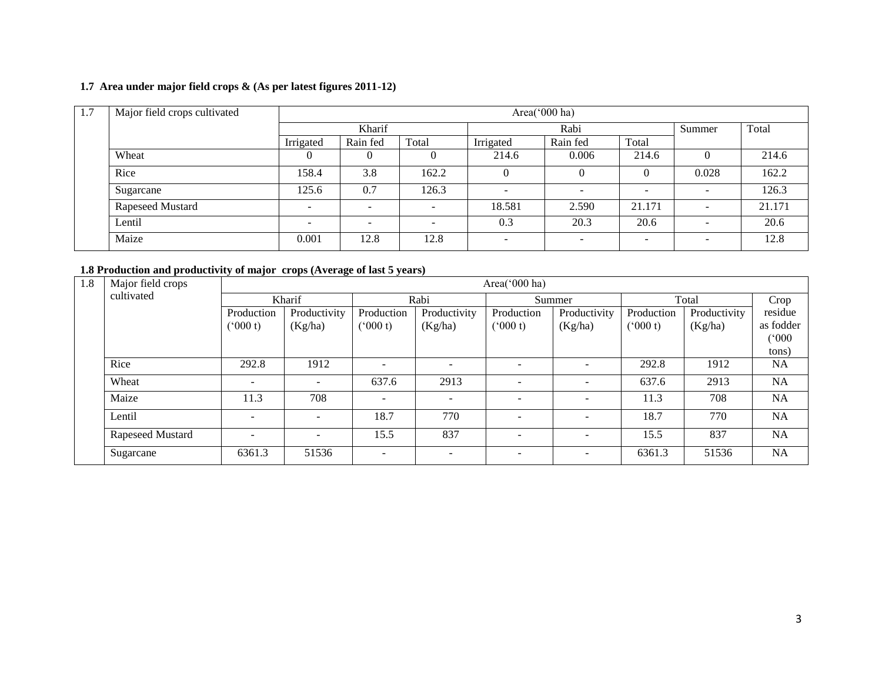### **1.7 Area under major field crops & (As per latest figures 2011-12)**

| 1.7 | Major field crops cultivated | Area(' $000$ ha) |          |                          |           |                          |                          |                          |        |  |
|-----|------------------------------|------------------|----------|--------------------------|-----------|--------------------------|--------------------------|--------------------------|--------|--|
|     |                              | Kharif           |          |                          | Rabi      | Summer                   | Total                    |                          |        |  |
|     |                              | Irrigated        | Rain fed | Total                    | Irrigated | Rain fed                 | Total                    |                          |        |  |
|     | Wheat                        |                  |          |                          | 214.6     | 0.006                    | 214.6                    |                          | 214.6  |  |
|     | Rice                         | 158.4            | 3.8      | 162.2                    |           | $\Omega$                 |                          | 0.028                    | 162.2  |  |
|     | Sugarcane                    | 125.6            | 0.7      | 126.3                    |           |                          | $\sim$                   | -                        | 126.3  |  |
|     | Rapeseed Mustard             | -                |          | $\overline{\phantom{a}}$ | 18.581    | 2.590                    | 21.171                   | -                        | 21.171 |  |
|     | Lentil                       | -                |          | $\overline{\phantom{0}}$ | 0.3       | 20.3                     | 20.6                     | $\sim$                   | 20.6   |  |
|     | Maize                        | 0.001            | 12.8     | 12.8                     |           | $\overline{\phantom{0}}$ | $\overline{\phantom{0}}$ | $\overline{\phantom{0}}$ | 12.8   |  |

### **1.8 Production and productivity of major crops (Average of last 5 years)**

| 1.8 | Major field crops |                          |              |                |                          | Area('000 ha)            |                          |            |              |           |
|-----|-------------------|--------------------------|--------------|----------------|--------------------------|--------------------------|--------------------------|------------|--------------|-----------|
|     | cultivated        |                          | Kharif       |                | Rabi                     |                          | Summer                   |            | Total        | Crop      |
|     |                   | Production               | Productivity | Production     | Productivity             | Production               | Productivity             | Production | Productivity | residue   |
|     |                   | (000 t)                  | (Kg/ha)      | (000 t)        | (Kg/ha)                  | (000 t)                  | (Kg/ha)                  | (000 t)    | (Kg/ha)      | as fodder |
|     |                   |                          |              |                |                          |                          |                          |            |              | (000)     |
|     |                   |                          |              |                |                          |                          |                          |            |              | tons)     |
|     | Rice              | 292.8                    | 1912         |                | $\overline{\phantom{a}}$ | $\overline{\phantom{a}}$ | $\overline{\phantom{a}}$ | 292.8      | 1912         | <b>NA</b> |
|     | Wheat             | $\overline{\phantom{a}}$ | -            | 637.6          | 2913                     | $\overline{\phantom{a}}$ | $\sim$                   | 637.6      | 2913         | <b>NA</b> |
|     | Maize             | 11.3                     | 708          | $\overline{a}$ | $\overline{\phantom{a}}$ | -                        | $\overline{\phantom{0}}$ | 11.3       | 708          | <b>NA</b> |
|     | Lentil            | $\overline{\phantom{0}}$ | -            | 18.7           | 770                      | $\overline{\phantom{a}}$ | $\overline{\phantom{a}}$ | 18.7       | 770          | <b>NA</b> |
|     | Rapeseed Mustard  | $\overline{\phantom{a}}$ |              | 15.5           | 837                      | $\overline{\phantom{a}}$ | $\overline{\phantom{a}}$ | 15.5       | 837          | <b>NA</b> |
|     | Sugarcane         | 6361.3                   | 51536        | $\overline{a}$ | $\sim$                   | $\overline{\phantom{a}}$ | $\sim$                   | 6361.3     | 51536        | NA        |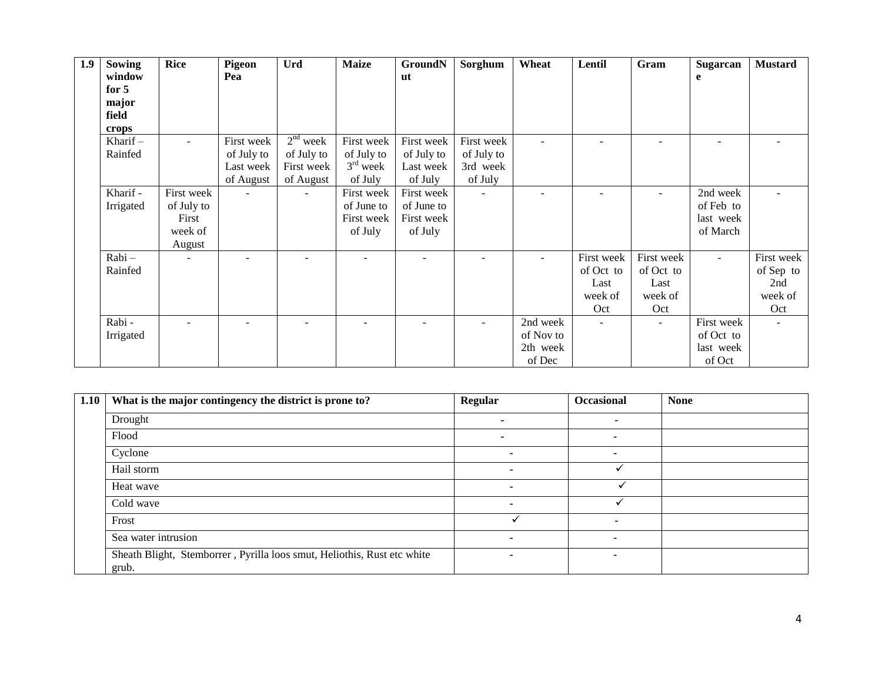| 1.9 | <b>Sowing</b>  | <b>Rice</b> | Pigeon     | <b>Urd</b> | <b>Maize</b> | <b>GroundN</b> | Sorghum    | Wheat     | Lentil     | Gram       | <b>Sugarcan</b> | <b>Mustard</b> |
|-----|----------------|-------------|------------|------------|--------------|----------------|------------|-----------|------------|------------|-----------------|----------------|
|     | window         |             | Pea        |            |              | ut             |            |           |            |            | e               |                |
|     | for $5$        |             |            |            |              |                |            |           |            |            |                 |                |
|     | major<br>field |             |            |            |              |                |            |           |            |            |                 |                |
|     | crops          |             |            |            |              |                |            |           |            |            |                 |                |
|     | Kharif $-$     | $\sim$      | First week | $2nd$ week | First week   | First week     | First week |           |            |            |                 |                |
|     | Rainfed        |             | of July to | of July to | of July to   | of July to     | of July to |           |            |            |                 |                |
|     |                |             | Last week  | First week | $3rd$ week   | Last week      | 3rd week   |           |            |            |                 |                |
|     |                |             | of August  | of August  | of July      | of July        | of July    |           |            |            |                 |                |
|     | Kharif -       | First week  |            | ÷          | First week   | First week     |            |           |            |            | 2nd week        |                |
|     | Irrigated      | of July to  |            |            | of June to   | of June to     |            |           |            |            | of Feb to       |                |
|     |                | First       |            |            | First week   | First week     |            |           |            |            | last week       |                |
|     |                | week of     |            |            | of July      | of July        |            |           |            |            | of March        |                |
|     |                | August      |            |            |              |                |            |           |            |            |                 |                |
|     | Rabi-          |             |            |            |              |                |            |           | First week | First week | $\sim$          | First week     |
|     | Rainfed        |             |            |            |              |                |            |           | of Oct to  | of Oct to  |                 | of Sep to      |
|     |                |             |            |            |              |                |            |           | Last       | Last       |                 | 2nd            |
|     |                |             |            |            |              |                |            |           | week of    | week of    |                 | week of        |
|     |                |             |            |            |              |                |            |           | Oct        | Oct        |                 | Oct            |
|     | Rabi-          |             |            |            |              |                |            | 2nd week  |            | ÷          | First week      |                |
|     | Irrigated      |             |            |            |              |                |            | of Nov to |            |            | of Oct to       |                |
|     |                |             |            |            |              |                |            | 2th week  |            |            | last week       |                |
|     |                |             |            |            |              |                |            | of Dec    |            |            | of Oct          |                |

| 1.10 | What is the major contingency the district is prone to?                          | Regular | <b>Occasional</b>        | <b>None</b> |
|------|----------------------------------------------------------------------------------|---------|--------------------------|-------------|
|      | Drought                                                                          |         |                          |             |
|      | Flood                                                                            |         | $\overline{\phantom{a}}$ |             |
|      | Cyclone                                                                          |         | $\overline{\phantom{a}}$ |             |
|      | Hail storm                                                                       | ۰.      |                          |             |
|      | Heat wave                                                                        | -       |                          |             |
|      | Cold wave                                                                        |         |                          |             |
|      | Frost                                                                            |         | -                        |             |
|      | Sea water intrusion                                                              | ٠       | $\blacksquare$           |             |
|      | Sheath Blight, Stemborrer, Pyrilla loos smut, Heliothis, Rust etc white<br>grub. | -       | $\overline{\phantom{a}}$ |             |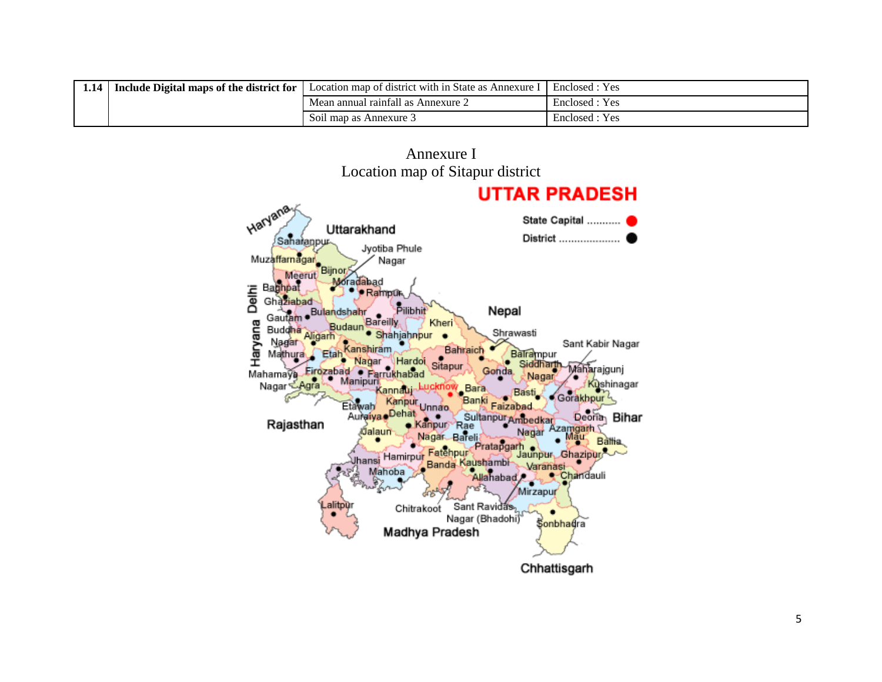| 1.14 | <sup>1</sup> Include Digital maps of the district for | Location map of district with in State as .<br>Annexure | Enclosed<br>: Yes |
|------|-------------------------------------------------------|---------------------------------------------------------|-------------------|
|      |                                                       | Mean annual rainfall as Annexure 2                      | Enclosed : Yes    |
|      |                                                       | Soil map as Annexure 3                                  | : Yes<br>Enclosed |

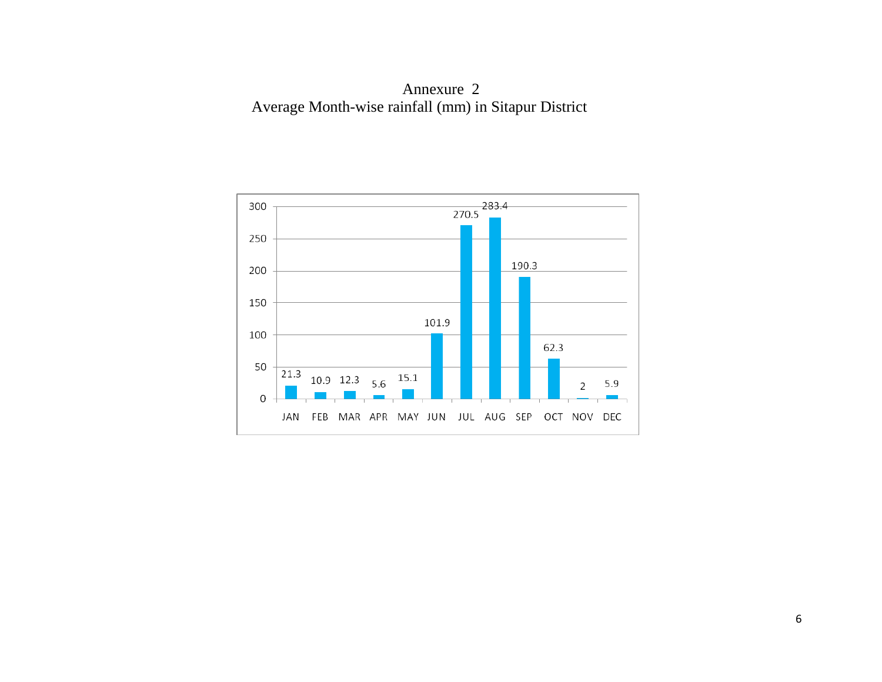Annexure 2 Average Month-wise rainfall (mm) in Sitapur District

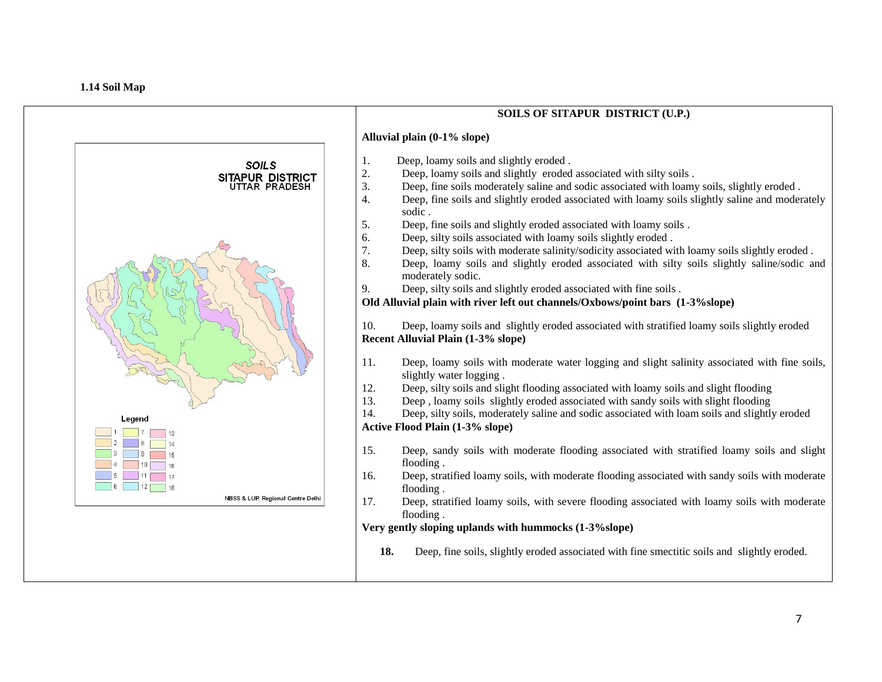

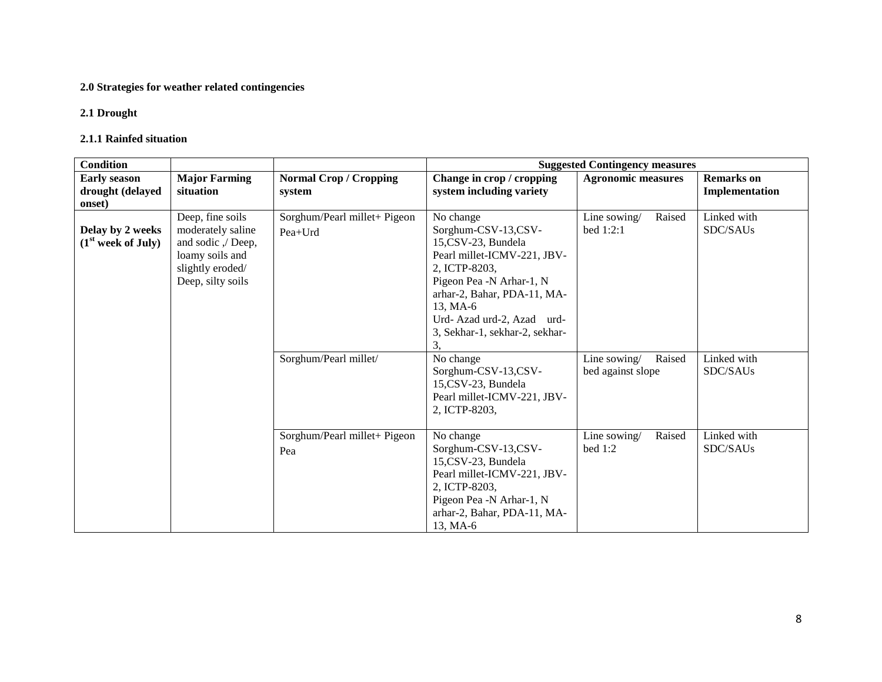# **2.0 Strategies for weather related contingencies**

### **2.1 Drought**

#### **2.1.1 Rainfed situation**

| <b>Condition</b>                                   |                                                                                                                         |                                         | <b>Suggested Contingency measures</b>                                                                                                                                                                                                              |                                             |                                     |  |  |  |
|----------------------------------------------------|-------------------------------------------------------------------------------------------------------------------------|-----------------------------------------|----------------------------------------------------------------------------------------------------------------------------------------------------------------------------------------------------------------------------------------------------|---------------------------------------------|-------------------------------------|--|--|--|
| <b>Early season</b><br>drought (delayed<br>onset)  | <b>Normal Crop / Cropping</b><br><b>Major Farming</b><br>situation<br>system                                            |                                         | Change in crop / cropping<br>system including variety                                                                                                                                                                                              | <b>Agronomic measures</b>                   | <b>Remarks</b> on<br>Implementation |  |  |  |
| Delay by 2 weeks<br>(1 <sup>st</sup> week of July) | Deep, fine soils<br>moderately saline<br>and sodic ,/ Deep,<br>loamy soils and<br>slightly eroded/<br>Deep, silty soils | Sorghum/Pearl millet+ Pigeon<br>Pea+Urd | No change<br>Sorghum-CSV-13,CSV-<br>15,CSV-23, Bundela<br>Pearl millet-ICMV-221, JBV-<br>2, ICTP-8203,<br>Pigeon Pea -N Arhar-1, N<br>arhar-2, Bahar, PDA-11, MA-<br>13, MA-6<br>Urd-Azad urd-2, Azad urd-<br>3, Sekhar-1, sekhar-2, sekhar-<br>3. | Raised<br>Line sowing/<br>bed $1:2:1$       | Linked with<br>SDC/SAUs             |  |  |  |
|                                                    |                                                                                                                         | Sorghum/Pearl millet/                   | No change<br>Sorghum-CSV-13,CSV-<br>15,CSV-23, Bundela<br>Pearl millet-ICMV-221, JBV-<br>2, ICTP-8203,                                                                                                                                             | Line sowing/<br>Raised<br>bed against slope | Linked with<br>SDC/SAUs             |  |  |  |
|                                                    |                                                                                                                         | Sorghum/Pearl millet+ Pigeon<br>Pea     | No change<br>Sorghum-CSV-13,CSV-<br>15,CSV-23, Bundela<br>Pearl millet-ICMV-221, JBV-<br>2, ICTP-8203,<br>Pigeon Pea -N Arhar-1, N<br>arhar-2, Bahar, PDA-11, MA-<br>13, MA-6                                                                      | Raised<br>Line sowing/<br>bed $1:2$         | Linked with<br>SDC/SAUs             |  |  |  |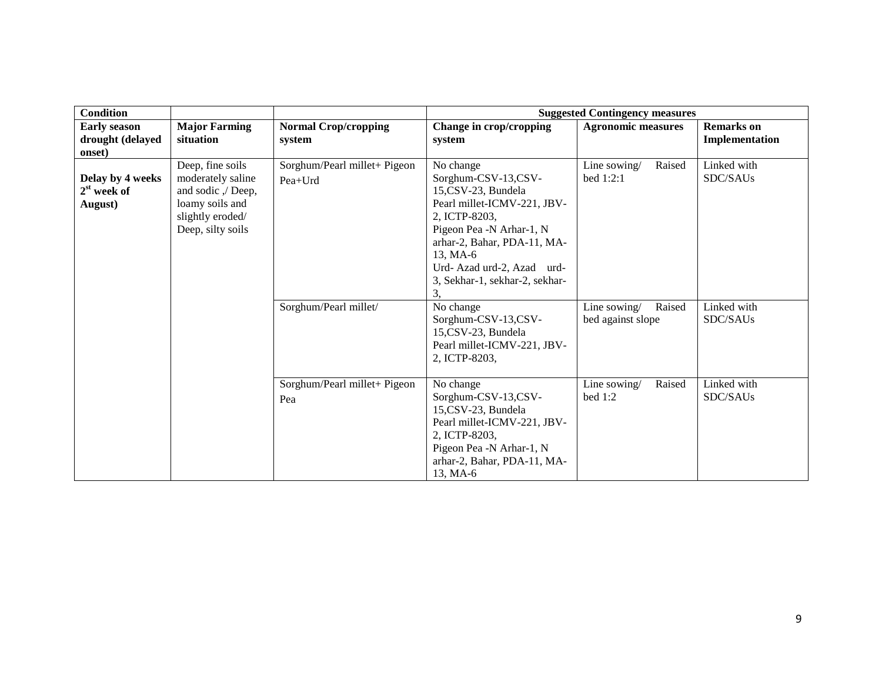| <b>Condition</b>                                  |                                                                                                                         |                                           |                                                                                                                                                                                                                                                    | <b>Suggested Contingency measures</b>       |                                     |
|---------------------------------------------------|-------------------------------------------------------------------------------------------------------------------------|-------------------------------------------|----------------------------------------------------------------------------------------------------------------------------------------------------------------------------------------------------------------------------------------------------|---------------------------------------------|-------------------------------------|
| <b>Early season</b><br>drought (delayed<br>onset) | <b>Major Farming</b><br>situation                                                                                       | <b>Normal Crop/cropping</b><br>system     | Change in crop/cropping<br>system                                                                                                                                                                                                                  | <b>Agronomic measures</b>                   | <b>Remarks</b> on<br>Implementation |
| Delay by 4 weeks<br>$2st$ week of<br>August)      | Deep, fine soils<br>moderately saline<br>and sodic ,/ Deep,<br>loamy soils and<br>slightly eroded/<br>Deep, silty soils | Sorghum/Pearl millet+ Pigeon<br>$Pea+Urd$ | No change<br>Sorghum-CSV-13,CSV-<br>15,CSV-23, Bundela<br>Pearl millet-ICMV-221, JBV-<br>2, ICTP-8203,<br>Pigeon Pea -N Arhar-1, N<br>arhar-2, Bahar, PDA-11, MA-<br>13, MA-6<br>Urd-Azad urd-2, Azad urd-<br>3, Sekhar-1, sekhar-2, sekhar-<br>3, | Line sowing/<br>Raised<br>bed 1:2:1         | Linked with<br>SDC/SAUs             |
|                                                   |                                                                                                                         | Sorghum/Pearl millet/                     | No change<br>Sorghum-CSV-13,CSV-<br>15,CSV-23, Bundela<br>Pearl millet-ICMV-221, JBV-<br>2, ICTP-8203,                                                                                                                                             | Line sowing/<br>Raised<br>bed against slope | Linked with<br>SDC/SAUs             |
|                                                   |                                                                                                                         | Sorghum/Pearl millet+ Pigeon<br>Pea       | No change<br>Sorghum-CSV-13,CSV-<br>15,CSV-23, Bundela<br>Pearl millet-ICMV-221, JBV-<br>2, ICTP-8203,<br>Pigeon Pea -N Arhar-1, N<br>arhar-2, Bahar, PDA-11, MA-<br>13, MA-6                                                                      | Raised<br>Line sowing/<br>bed 1:2           | Linked with<br>SDC/SAUs             |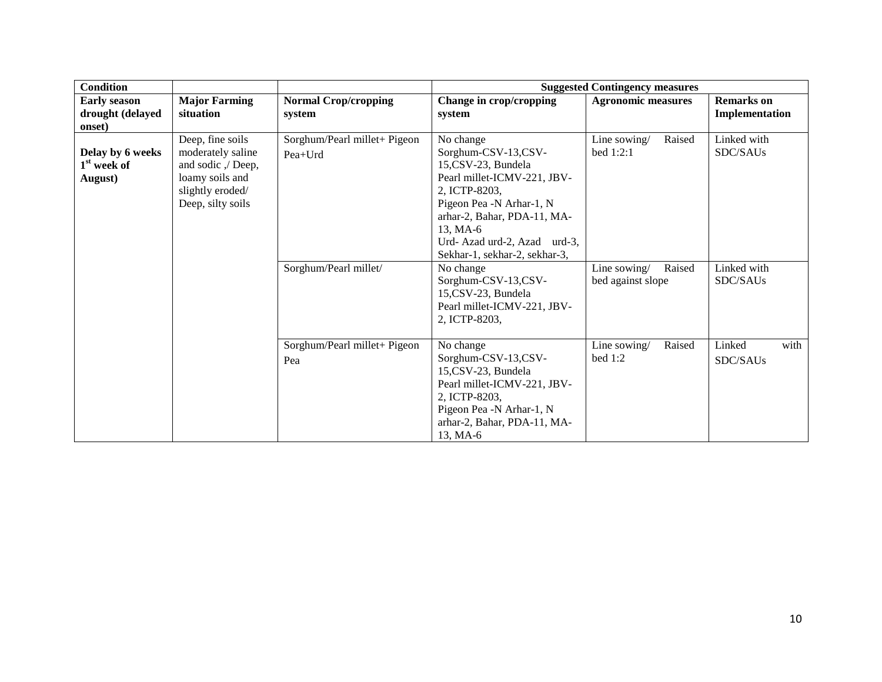| <b>Condition</b>                                       |                                                                                                                         |                                                                  |                                                                                                                                                                                                                                                            | <b>Suggested Contingency measures</b>                         |                                        |
|--------------------------------------------------------|-------------------------------------------------------------------------------------------------------------------------|------------------------------------------------------------------|------------------------------------------------------------------------------------------------------------------------------------------------------------------------------------------------------------------------------------------------------------|---------------------------------------------------------------|----------------------------------------|
| <b>Early season</b><br>drought (delayed<br>onset)      | <b>Major Farming</b><br>situation                                                                                       | <b>Normal Crop/cropping</b><br>system                            | Change in crop/cropping<br>system                                                                                                                                                                                                                          | <b>Agronomic measures</b>                                     | <b>Remarks</b> on<br>Implementation    |
| Delay by 6 weeks<br>1 <sup>st</sup> week of<br>August) | Deep, fine soils<br>moderately saline<br>and sodic ,/ Deep,<br>loamy soils and<br>slightly eroded/<br>Deep, silty soils | Sorghum/Pearl millet+ Pigeon<br>Pea+Urd<br>Sorghum/Pearl millet/ | No change<br>Sorghum-CSV-13,CSV-<br>15,CSV-23, Bundela<br>Pearl millet-ICMV-221, JBV-<br>2, ICTP-8203,<br>Pigeon Pea -N Arhar-1, N<br>arhar-2, Bahar, PDA-11, MA-<br>13, MA-6<br>Urd-Azad urd-2, Azad urd-3,<br>Sekhar-1, sekhar-2, sekhar-3,<br>No change | Line sowing/<br>Raised<br>bed 1:2:1<br>Raised<br>Line sowing/ | Linked with<br>SDC/SAUs<br>Linked with |
|                                                        |                                                                                                                         |                                                                  | Sorghum-CSV-13,CSV-<br>15,CSV-23, Bundela<br>Pearl millet-ICMV-221, JBV-<br>2. ICTP-8203.                                                                                                                                                                  | bed against slope                                             | SDC/SAUs                               |
|                                                        |                                                                                                                         | Sorghum/Pearl millet+ Pigeon<br>Pea                              | No change<br>Sorghum-CSV-13,CSV-<br>15,CSV-23, Bundela<br>Pearl millet-ICMV-221, JBV-<br>2, ICTP-8203,<br>Pigeon Pea -N Arhar-1, N<br>arhar-2, Bahar, PDA-11, MA-<br>13, MA-6                                                                              | Raised<br>Line sowing/<br>bed 1:2                             | Linked<br>with<br>SDC/SAUs             |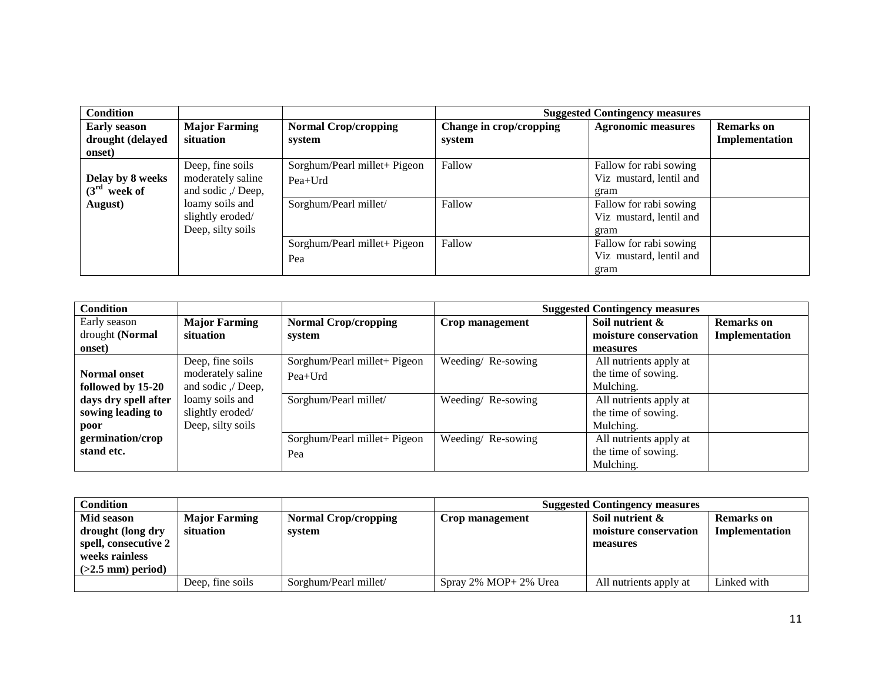| <b>Condition</b>                                  |                                                             |                                           |                                   | <b>Suggested Contingency measures</b>                     |                                     |
|---------------------------------------------------|-------------------------------------------------------------|-------------------------------------------|-----------------------------------|-----------------------------------------------------------|-------------------------------------|
| <b>Early season</b><br>drought (delayed<br>onset) | <b>Major Farming</b><br>situation                           | <b>Normal Crop/cropping</b><br>system     | Change in crop/cropping<br>system | <b>Agronomic measures</b>                                 | <b>Remarks</b> on<br>Implementation |
| Delay by 8 weeks<br>$(3rd$ week of                | Deep, fine soils<br>moderately saline<br>and sodic ,/ Deep, | Sorghum/Pearl millet+ Pigeon<br>$Pea+Urd$ | Fallow                            | Fallow for rabi sowing<br>Viz mustard, lentil and<br>gram |                                     |
| August)                                           | loamy soils and<br>slightly eroded/<br>Deep, silty soils    | Sorghum/Pearl millet/                     | Fallow                            | Fallow for rabi sowing<br>Viz mustard, lentil and<br>gram |                                     |
|                                                   |                                                             | Sorghum/Pearl millet+ Pigeon<br>Pea       | Fallow                            | Fallow for rabi sowing<br>Viz mustard, lentil and<br>gram |                                     |

| <b>Condition</b>     |                      |                              |                   | <b>Suggested Contingency measures</b> |                   |
|----------------------|----------------------|------------------------------|-------------------|---------------------------------------|-------------------|
| Early season         | <b>Major Farming</b> | <b>Normal Crop/cropping</b>  | Crop management   | Soil nutrient &                       | <b>Remarks</b> on |
| drought (Normal      | situation            | system                       |                   | moisture conservation                 | Implementation    |
| onset)               |                      |                              |                   | measures                              |                   |
|                      | Deep, fine soils     | Sorghum/Pearl millet+ Pigeon | Weeding/Re-sowing | All nutrients apply at                |                   |
| <b>Normal onset</b>  | moderately saline    | Pea+Urd                      |                   | the time of sowing.                   |                   |
| followed by 15-20    | and sodic ,/ Deep,   |                              |                   | Mulching.                             |                   |
| days dry spell after | loamy soils and      | Sorghum/Pearl millet/        | Weeding/Re-sowing | All nutrients apply at                |                   |
| sowing leading to    | slightly eroded/     |                              |                   | the time of sowing.                   |                   |
| poor                 | Deep, silty soils    |                              |                   | Mulching.                             |                   |
| germination/crop     |                      | Sorghum/Pearl millet+ Pigeon | Weeding/Re-sowing | All nutrients apply at                |                   |
| stand etc.           |                      | Pea                          |                   | the time of sowing.                   |                   |
|                      |                      |                              |                   | Mulching.                             |                   |

| Condition            |                      |                             | <b>Suggested Contingency measures</b> |                        |                   |
|----------------------|----------------------|-----------------------------|---------------------------------------|------------------------|-------------------|
| Mid season           | <b>Major Farming</b> | <b>Normal Crop/cropping</b> | Crop management                       | Soil nutrient &        | <b>Remarks</b> on |
| drought (long dry    | situation            | system                      |                                       | moisture conservation  | Implementation    |
| spell, consecutive 2 |                      |                             |                                       | measures               |                   |
| weeks rainless       |                      |                             |                                       |                        |                   |
| $(>2.5$ mm) period)  |                      |                             |                                       |                        |                   |
|                      | Deep, fine soils     | Sorghum/Pearl millet/       | Spray 2% MOP+ 2% Urea                 | All nutrients apply at | Linked with       |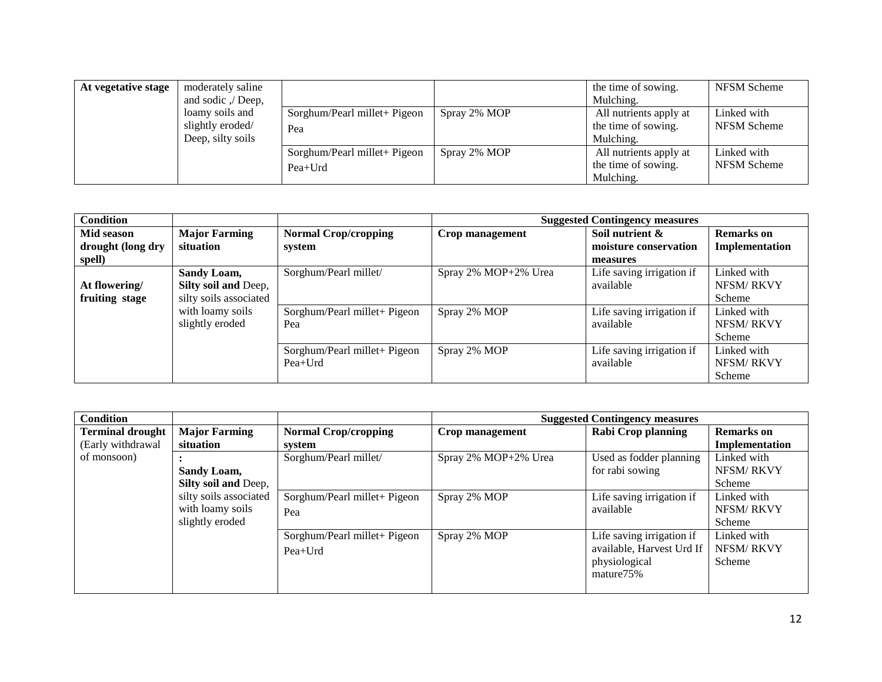| At vegetative stage | moderately saline  |                              |              | the time of sowing.    | NFSM Scheme |
|---------------------|--------------------|------------------------------|--------------|------------------------|-------------|
|                     | and sodic ,/ Deep, |                              |              | Mulching.              |             |
|                     | loamy soils and    | Sorghum/Pearl millet+ Pigeon | Spray 2% MOP | All nutrients apply at | Linked with |
|                     | slightly eroded/   | Pea                          |              | the time of sowing.    | NFSM Scheme |
|                     | Deep, silty soils  |                              |              | Mulching.              |             |
|                     |                    | Sorghum/Pearl millet+ Pigeon | Spray 2% MOP | All nutrients apply at | Linked with |
|                     |                    | $Pea+Urd$                    |              | the time of sowing.    | NFSM Scheme |
|                     |                    |                              |              | Mulching.              |             |

| <b>Condition</b>                |                                                                      |                                           |                      | <b>Suggested Contingency measures</b>  |                                           |
|---------------------------------|----------------------------------------------------------------------|-------------------------------------------|----------------------|----------------------------------------|-------------------------------------------|
| Mid season                      | <b>Major Farming</b>                                                 | <b>Normal Crop/cropping</b>               | Crop management      | Soil nutrient &                        | <b>Remarks</b> on                         |
| drought (long dry               | situation                                                            | system                                    |                      | moisture conservation                  | Implementation                            |
| spell)                          |                                                                      |                                           |                      | measures                               |                                           |
| At flowering/<br>fruiting stage | <b>Sandy Loam,</b><br>Silty soil and Deep,<br>silty soils associated | Sorghum/Pearl millet/                     | Spray 2% MOP+2% Urea | Life saving irrigation if<br>available | Linked with<br><b>NFSM/RKVY</b><br>Scheme |
|                                 | with loamy soils<br>slightly eroded                                  | Sorghum/Pearl millet+ Pigeon<br>Pea       | Spray 2% MOP         | Life saving irrigation if<br>available | Linked with<br><b>NFSM/RKVY</b><br>Scheme |
|                                 |                                                                      | Sorghum/Pearl millet+ Pigeon<br>$Pea+Urd$ | Spray 2% MOP         | Life saving irrigation if<br>available | Linked with<br>NFSM/RKVY<br>Scheme        |

| <b>Condition</b>        |                        |                              |                      | <b>Suggested Contingency measures</b> |                   |
|-------------------------|------------------------|------------------------------|----------------------|---------------------------------------|-------------------|
| <b>Terminal drought</b> | <b>Major Farming</b>   | <b>Normal Crop/cropping</b>  | Crop management      | <b>Rabi Crop planning</b>             | <b>Remarks</b> on |
| (Early withdrawal       | situation              | system                       |                      |                                       | Implementation    |
| of monsoon)             |                        | Sorghum/Pearl millet/        | Spray 2% MOP+2% Urea | Used as fodder planning               | Linked with       |
|                         | <b>Sandy Loam,</b>     |                              |                      | for rabi sowing                       | <b>NFSM/RKVY</b>  |
|                         | Silty soil and Deep,   |                              |                      |                                       | Scheme            |
|                         | silty soils associated | Sorghum/Pearl millet+ Pigeon | Spray 2% MOP         | Life saving irrigation if             | Linked with       |
|                         | with loamy soils       | Pea                          |                      | available                             | <b>NFSM/RKVY</b>  |
|                         | slightly eroded        |                              |                      |                                       | Scheme            |
|                         |                        | Sorghum/Pearl millet+ Pigeon | Spray 2% MOP         | Life saving irrigation if             | Linked with       |
|                         |                        | $Pea+Urd$                    |                      | available, Harvest Urd If             | <b>NFSM/RKVY</b>  |
|                         |                        |                              |                      | physiological                         | Scheme            |
|                         |                        |                              |                      | mature75%                             |                   |
|                         |                        |                              |                      |                                       |                   |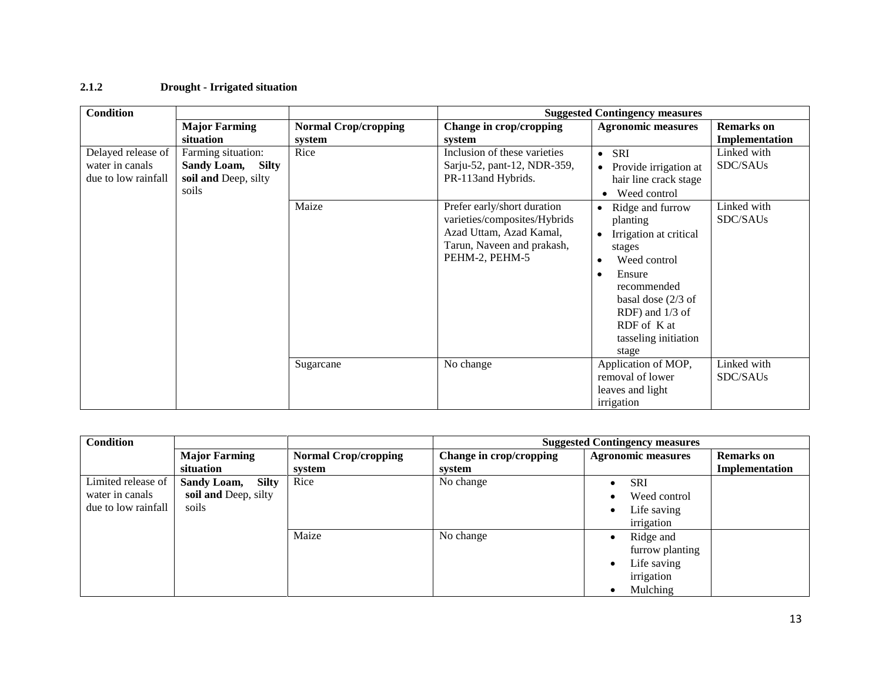# **2.1.2 Drought - Irrigated situation**

| <b>Condition</b>                                             |                                                                          |                             |                                                                                                                                        | <b>Suggested Contingency measures</b>                                                                                                                                                                                                       |                         |
|--------------------------------------------------------------|--------------------------------------------------------------------------|-----------------------------|----------------------------------------------------------------------------------------------------------------------------------------|---------------------------------------------------------------------------------------------------------------------------------------------------------------------------------------------------------------------------------------------|-------------------------|
|                                                              | <b>Major Farming</b>                                                     | <b>Normal Crop/cropping</b> | Change in crop/cropping                                                                                                                | <b>Agronomic measures</b>                                                                                                                                                                                                                   | <b>Remarks</b> on       |
|                                                              | situation                                                                | system                      | system                                                                                                                                 |                                                                                                                                                                                                                                             | Implementation          |
| Delayed release of<br>water in canals<br>due to low rainfall | Farming situation:<br>Sandy Loam, Silty<br>soil and Deep, silty<br>soils | Rice                        | Inclusion of these varieties<br>Sarju-52, pant-12, NDR-359,<br>PR-113 and Hybrids.                                                     | SRI<br>$\bullet$<br>Provide irrigation at<br>$\bullet$<br>hair line crack stage<br>Weed control                                                                                                                                             | Linked with<br>SDC/SAUs |
|                                                              |                                                                          | Maize                       | Prefer early/short duration<br>varieties/composites/Hybrids<br>Azad Uttam, Azad Kamal,<br>Tarun, Naveen and prakash,<br>PEHM-2, PEHM-5 | Ridge and furrow<br>$\bullet$<br>planting<br>Irrigation at critical<br>$\bullet$<br>stages<br>Weed control<br>Ensure<br>$\bullet$<br>recommended<br>basal dose $(2/3$ of<br>RDF) and 1/3 of<br>RDF of K at<br>tasseling initiation<br>stage | Linked with<br>SDC/SAUs |
|                                                              |                                                                          | Sugarcane                   | No change                                                                                                                              | Application of MOP,<br>removal of lower<br>leaves and light<br>irrigation                                                                                                                                                                   | Linked with<br>SDC/SAUs |

| <b>Condition</b>    |                             |                             |                         | <b>Suggested Contingency measures</b> |                   |
|---------------------|-----------------------------|-----------------------------|-------------------------|---------------------------------------|-------------------|
|                     | <b>Major Farming</b>        | <b>Normal Crop/cropping</b> | Change in crop/cropping | <b>Agronomic measures</b>             | <b>Remarks</b> on |
|                     | situation                   | system                      | system                  |                                       | Implementation    |
| Limited release of  | <b>Sandy Loam,</b><br>Silty | Rice                        | No change               | <b>SRI</b><br>$\bullet$               |                   |
| water in canals     | soil and Deep, silty        |                             |                         | Weed control<br>$\bullet$             |                   |
| due to low rainfall | soils                       |                             |                         | Life saving<br>$\bullet$              |                   |
|                     |                             |                             |                         | irrigation                            |                   |
|                     |                             | Maize                       | No change               | Ridge and<br>$\bullet$                |                   |
|                     |                             |                             |                         | furrow planting                       |                   |
|                     |                             |                             |                         | Life saving<br>$\bullet$              |                   |
|                     |                             |                             |                         | irrigation                            |                   |
|                     |                             |                             |                         | Mulching                              |                   |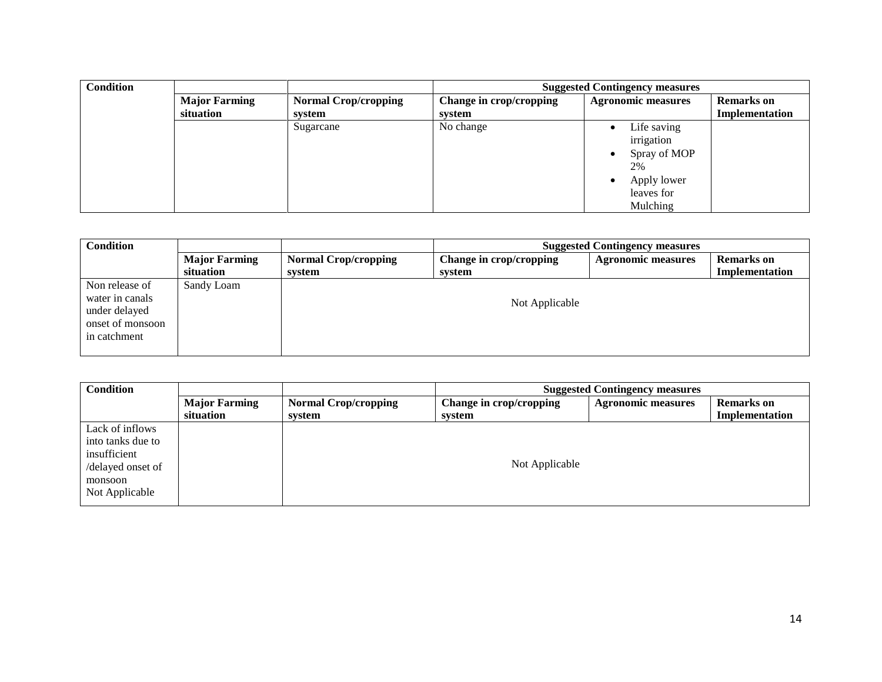| <b>Condition</b> |                      |                             | <b>Suggested Contingency measures</b> |                                                                                                                 |                   |  |  |
|------------------|----------------------|-----------------------------|---------------------------------------|-----------------------------------------------------------------------------------------------------------------|-------------------|--|--|
|                  | <b>Major Farming</b> | <b>Normal Crop/cropping</b> | Change in crop/cropping               | <b>Agronomic measures</b>                                                                                       | <b>Remarks</b> on |  |  |
|                  | situation            | system                      | system                                |                                                                                                                 | Implementation    |  |  |
|                  |                      | Sugarcane                   | No change                             | Life saving<br>$\bullet$<br>irrigation<br>Spray of MOP<br>٠<br>2%<br>Apply lower<br>٠<br>leaves for<br>Mulching |                   |  |  |

| <b>Condition</b>                                                                       |                                   | <b>Suggested Contingency measures</b> |                                   |                           |                                     |
|----------------------------------------------------------------------------------------|-----------------------------------|---------------------------------------|-----------------------------------|---------------------------|-------------------------------------|
|                                                                                        | <b>Major Farming</b><br>situation | <b>Normal Crop/cropping</b><br>system | Change in crop/cropping<br>system | <b>Agronomic measures</b> | <b>Remarks</b> on<br>Implementation |
| Non release of<br>water in canals<br>under delayed<br>onset of monsoon<br>in catchment | Sandy Loam                        |                                       | Not Applicable                    |                           |                                     |

| Condition         |                      | <b>Suggested Contingency measures</b> |                         |                           |                   |
|-------------------|----------------------|---------------------------------------|-------------------------|---------------------------|-------------------|
|                   | <b>Major Farming</b> | <b>Normal Crop/cropping</b>           | Change in crop/cropping | <b>Agronomic measures</b> | <b>Remarks</b> on |
|                   | situation            | system                                | system                  |                           | Implementation    |
| Lack of inflows   |                      |                                       |                         |                           |                   |
| into tanks due to |                      |                                       |                         |                           |                   |
| insufficient      |                      |                                       |                         |                           |                   |
| /delayed onset of |                      |                                       | Not Applicable          |                           |                   |
| monsoon           |                      |                                       |                         |                           |                   |
| Not Applicable    |                      |                                       |                         |                           |                   |
|                   |                      |                                       |                         |                           |                   |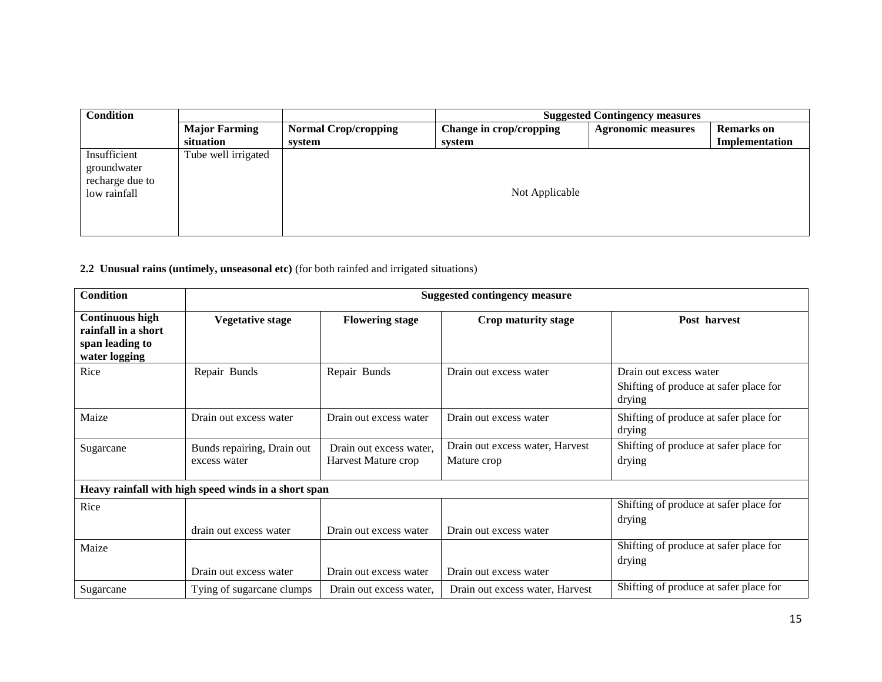| <b>Condition</b>                                               |                      | <b>Suggested Contingency measures</b> |                         |                           |                   |  |
|----------------------------------------------------------------|----------------------|---------------------------------------|-------------------------|---------------------------|-------------------|--|
|                                                                | <b>Major Farming</b> | <b>Normal Crop/cropping</b>           | Change in crop/cropping | <b>Agronomic measures</b> | <b>Remarks</b> on |  |
|                                                                | situation            | system                                | system                  |                           | Implementation    |  |
| Insufficient<br>groundwater<br>recharge due to<br>low rainfall | Tube well irrigated  |                                       | Not Applicable          |                           |                   |  |

**2.2 Unusual rains (untimely, unseasonal etc)** (for both rainfed and irrigated situations)

| <b>Condition</b>                                                                  | <b>Suggested contingency measure</b>                 |                                                |                                                |                                                                            |  |
|-----------------------------------------------------------------------------------|------------------------------------------------------|------------------------------------------------|------------------------------------------------|----------------------------------------------------------------------------|--|
| <b>Continuous high</b><br>rainfall in a short<br>span leading to<br>water logging | <b>Vegetative stage</b>                              | <b>Flowering stage</b>                         | Crop maturity stage                            | Post harvest                                                               |  |
| Rice                                                                              | Repair Bunds                                         | Repair Bunds                                   | Drain out excess water                         | Drain out excess water<br>Shifting of produce at safer place for<br>drying |  |
| Maize                                                                             | Drain out excess water                               | Drain out excess water                         | Drain out excess water                         | Shifting of produce at safer place for<br>drying                           |  |
| Sugarcane                                                                         | Bunds repairing, Drain out<br>excess water           | Drain out excess water,<br>Harvest Mature crop | Drain out excess water, Harvest<br>Mature crop | Shifting of produce at safer place for<br>drying                           |  |
|                                                                                   | Heavy rainfall with high speed winds in a short span |                                                |                                                |                                                                            |  |
| Rice                                                                              | drain out excess water                               | Drain out excess water                         | Drain out excess water                         | Shifting of produce at safer place for<br>drying                           |  |
| Maize                                                                             | Drain out excess water                               | Drain out excess water                         | Drain out excess water                         | Shifting of produce at safer place for<br>drying                           |  |
| Sugarcane                                                                         | Tying of sugarcane clumps                            | Drain out excess water,                        | Drain out excess water, Harvest                | Shifting of produce at safer place for                                     |  |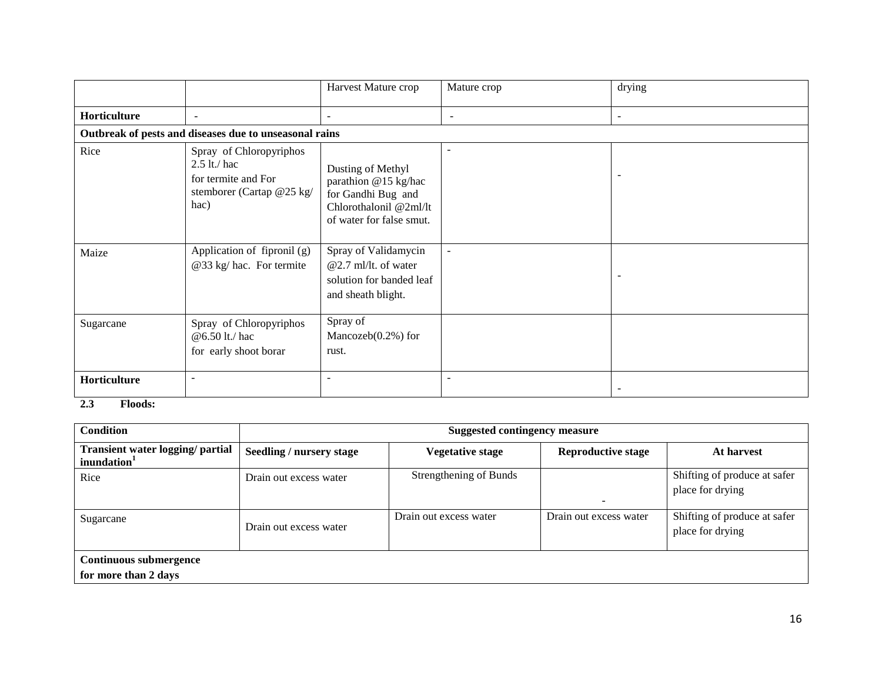|              |                                                                                                       | Harvest Mature crop                                                                                                   | Mature crop              | drying                   |
|--------------|-------------------------------------------------------------------------------------------------------|-----------------------------------------------------------------------------------------------------------------------|--------------------------|--------------------------|
| Horticulture | $\blacksquare$                                                                                        | $\overline{\phantom{a}}$                                                                                              | $\overline{\phantom{a}}$ | $\overline{\phantom{a}}$ |
|              | Outbreak of pests and diseases due to unseasonal rains                                                |                                                                                                                       |                          |                          |
| Rice         | Spray of Chloropyriphos<br>$2.5$ lt./ hac<br>for termite and For<br>stemborer (Cartap @25 kg/<br>hac) | Dusting of Methyl<br>parathion @15 kg/hac<br>for Gandhi Bug and<br>Chlorothalonil @2ml/lt<br>of water for false smut. | $\overline{\phantom{a}}$ | $\overline{\phantom{a}}$ |
| Maize        | Application of fipronil (g)<br>@33 kg/ hac. For termite                                               | Spray of Validamycin<br>$@2.7$ ml/lt. of water<br>solution for banded leaf<br>and sheath blight.                      | $\overline{a}$           | $\overline{\phantom{a}}$ |
| Sugarcane    | Spray of Chloropyriphos<br>@6.50 lt./ hac<br>for early shoot borar                                    | Spray of<br>Mancozeb $(0.2\%)$ for<br>rust.                                                                           |                          |                          |
| Horticulture |                                                                                                       |                                                                                                                       | $\blacksquare$           |                          |

#### **2.3 Floods:**

| <b>Condition</b>                                            | <b>Suggested contingency measure</b> |                         |                           |                                                  |  |  |
|-------------------------------------------------------------|--------------------------------------|-------------------------|---------------------------|--------------------------------------------------|--|--|
| Transient water logging/ partial<br>inundation <sup>1</sup> | Seedling / nursery stage             | <b>Vegetative stage</b> | <b>Reproductive stage</b> | At harvest                                       |  |  |
| Rice                                                        | Drain out excess water               | Strengthening of Bunds  |                           | Shifting of produce at safer<br>place for drying |  |  |
| Sugarcane                                                   | Drain out excess water               | Drain out excess water  | Drain out excess water    | Shifting of produce at safer<br>place for drying |  |  |
| <b>Continuous submergence</b><br>for more than 2 days       |                                      |                         |                           |                                                  |  |  |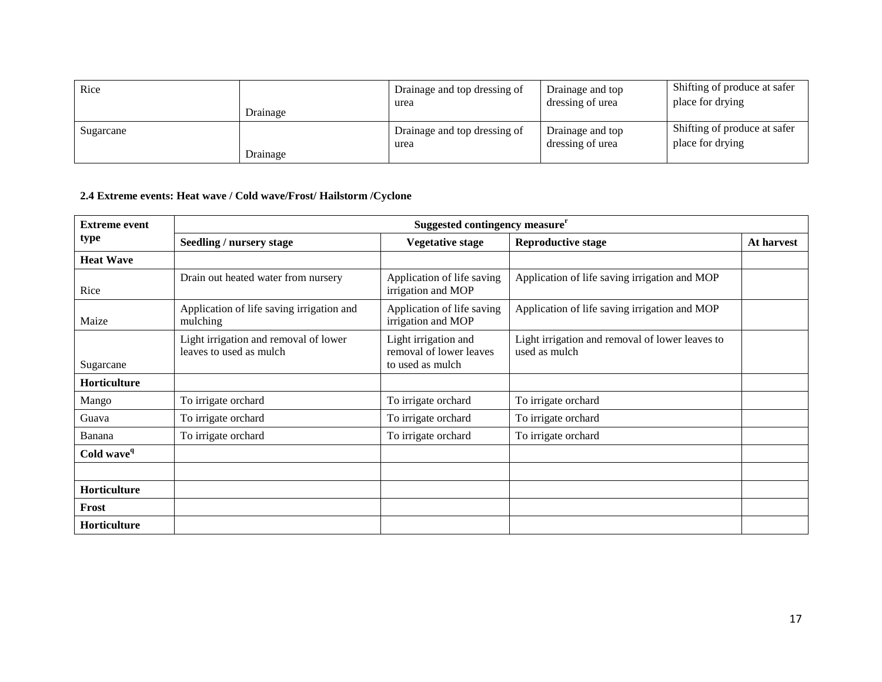| Rice      | Drainage | Drainage and top dressing of<br>urea | Drainage and top<br>dressing of urea | Shifting of produce at safer<br>place for drying |
|-----------|----------|--------------------------------------|--------------------------------------|--------------------------------------------------|
| Sugarcane | Drainage | Drainage and top dressing of<br>urea | Drainage and top<br>dressing of urea | Shifting of produce at safer<br>place for drying |

# **2.4 Extreme events: Heat wave / Cold wave/Frost/ Hailstorm /Cyclone**

| <b>Extreme event</b>   | Suggested contingency measure <sup>r</sup>                       |                                                                     |                                                                  |            |  |  |
|------------------------|------------------------------------------------------------------|---------------------------------------------------------------------|------------------------------------------------------------------|------------|--|--|
| type                   | Seedling / nursery stage                                         | <b>Vegetative stage</b>                                             | <b>Reproductive stage</b>                                        | At harvest |  |  |
| <b>Heat Wave</b>       |                                                                  |                                                                     |                                                                  |            |  |  |
| Rice                   | Drain out heated water from nursery                              | Application of life saving<br>irrigation and MOP                    | Application of life saving irrigation and MOP                    |            |  |  |
| Maize                  | Application of life saving irrigation and<br>mulching            | Application of life saving<br>irrigation and MOP                    | Application of life saving irrigation and MOP                    |            |  |  |
| Sugarcane              | Light irrigation and removal of lower<br>leaves to used as mulch | Light irrigation and<br>removal of lower leaves<br>to used as mulch | Light irrigation and removal of lower leaves to<br>used as mulch |            |  |  |
| Horticulture           |                                                                  |                                                                     |                                                                  |            |  |  |
| Mango                  | To irrigate orchard                                              | To irrigate orchard                                                 | To irrigate orchard                                              |            |  |  |
| Guava                  | To irrigate orchard                                              | To irrigate orchard                                                 | To irrigate orchard                                              |            |  |  |
| Banana                 | To irrigate orchard                                              | To irrigate orchard                                                 | To irrigate orchard                                              |            |  |  |
| Cold wave <sup>q</sup> |                                                                  |                                                                     |                                                                  |            |  |  |
|                        |                                                                  |                                                                     |                                                                  |            |  |  |
| Horticulture           |                                                                  |                                                                     |                                                                  |            |  |  |
| Frost                  |                                                                  |                                                                     |                                                                  |            |  |  |
| <b>Horticulture</b>    |                                                                  |                                                                     |                                                                  |            |  |  |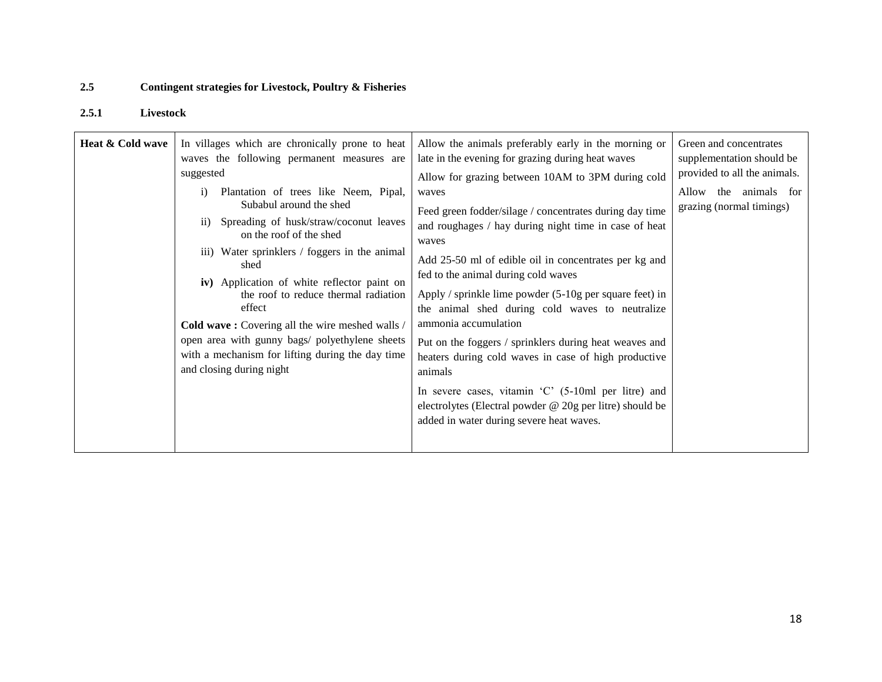# **2.5 Contingent strategies for Livestock, Poultry & Fisheries**

## **2.5.1 Livestock**

| Heat & Cold wave | In villages which are chronically prone to heat<br>waves the following permanent measures are<br>suggested<br>Plantation of trees like Neem, Pipal,<br>$\mathbf{i}$<br>Subabul around the shed<br>Spreading of husk/straw/coconut leaves<br>$\overline{11}$<br>on the roof of the shed<br>iii) Water sprinklers / foggers in the animal<br>shed<br>iv) Application of white reflector paint on<br>the roof to reduce thermal radiation<br>effect<br>Cold wave: Covering all the wire meshed walls /<br>open area with gunny bags/ polyethylene sheets<br>with a mechanism for lifting during the day time<br>and closing during night | Allow the animals preferably early in the morning or<br>late in the evening for grazing during heat waves<br>Allow for grazing between 10AM to 3PM during cold<br>waves<br>Feed green fodder/silage / concentrates during day time<br>and roughages / hay during night time in case of heat<br>waves<br>Add 25-50 ml of edible oil in concentrates per kg and<br>fed to the animal during cold waves<br>Apply / sprinkle lime powder $(5-10)$ g per square feet) in<br>the animal shed during cold waves to neutralize<br>ammonia accumulation<br>Put on the foggers / sprinklers during heat weaves and<br>heaters during cold waves in case of high productive<br>animals<br>In severe cases, vitamin $^{\circ}C^{\prime}$ (5-10ml per litre) and<br>electrolytes (Electral powder @ 20g per litre) should be<br>added in water during severe heat waves. | Green and concentrates<br>supplementation should be<br>provided to all the animals.<br>Allow<br>the animals for<br>grazing (normal timings) |
|------------------|---------------------------------------------------------------------------------------------------------------------------------------------------------------------------------------------------------------------------------------------------------------------------------------------------------------------------------------------------------------------------------------------------------------------------------------------------------------------------------------------------------------------------------------------------------------------------------------------------------------------------------------|-------------------------------------------------------------------------------------------------------------------------------------------------------------------------------------------------------------------------------------------------------------------------------------------------------------------------------------------------------------------------------------------------------------------------------------------------------------------------------------------------------------------------------------------------------------------------------------------------------------------------------------------------------------------------------------------------------------------------------------------------------------------------------------------------------------------------------------------------------------|---------------------------------------------------------------------------------------------------------------------------------------------|
|------------------|---------------------------------------------------------------------------------------------------------------------------------------------------------------------------------------------------------------------------------------------------------------------------------------------------------------------------------------------------------------------------------------------------------------------------------------------------------------------------------------------------------------------------------------------------------------------------------------------------------------------------------------|-------------------------------------------------------------------------------------------------------------------------------------------------------------------------------------------------------------------------------------------------------------------------------------------------------------------------------------------------------------------------------------------------------------------------------------------------------------------------------------------------------------------------------------------------------------------------------------------------------------------------------------------------------------------------------------------------------------------------------------------------------------------------------------------------------------------------------------------------------------|---------------------------------------------------------------------------------------------------------------------------------------------|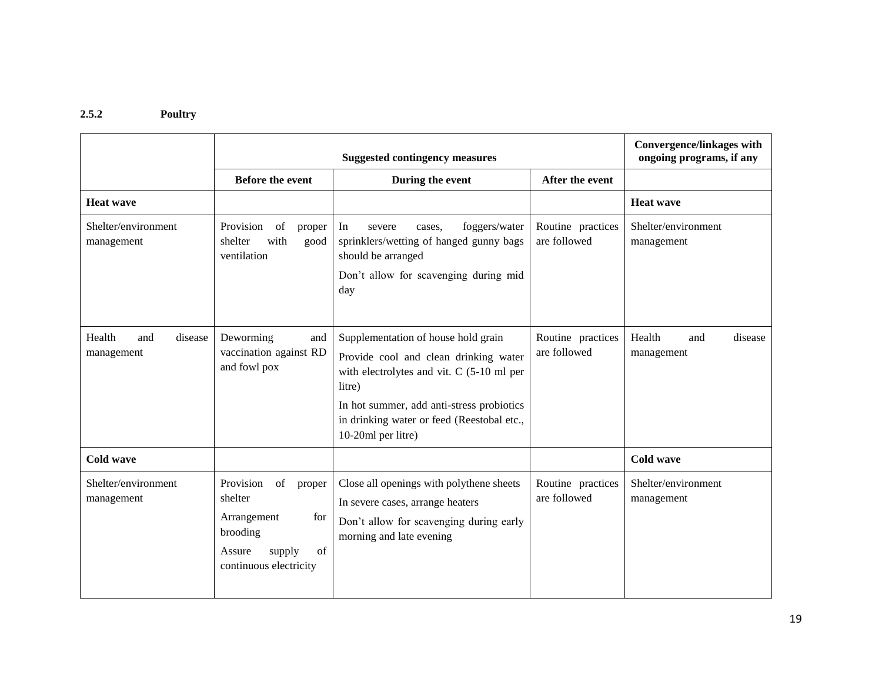### **2.5.2 Poultry**

|                                        |                                                                                                                                                                     | <b>Suggested contingency measures</b>                                                                                                                                                                                                                |                                   | <b>Convergence/linkages with</b><br>ongoing programs, if any |
|----------------------------------------|---------------------------------------------------------------------------------------------------------------------------------------------------------------------|------------------------------------------------------------------------------------------------------------------------------------------------------------------------------------------------------------------------------------------------------|-----------------------------------|--------------------------------------------------------------|
|                                        | <b>Before the event</b>                                                                                                                                             | During the event                                                                                                                                                                                                                                     | After the event                   |                                                              |
| <b>Heat wave</b>                       |                                                                                                                                                                     |                                                                                                                                                                                                                                                      |                                   | <b>Heat wave</b>                                             |
| Shelter/environment<br>management      | Provision<br>$% \left( \left( \mathcal{A},\mathcal{A}\right) \right) =\left( \mathcal{A},\mathcal{A}\right)$ of<br>proper<br>with<br>shelter<br>good<br>ventilation | foggers/water<br>In<br>severe<br>cases.<br>sprinklers/wetting of hanged gunny bags<br>should be arranged<br>Don't allow for scavenging during mid<br>day                                                                                             | Routine practices<br>are followed | Shelter/environment<br>management                            |
| Health<br>and<br>disease<br>management | Deworming<br>and<br>vaccination against RD<br>and fowl pox                                                                                                          | Supplementation of house hold grain<br>Provide cool and clean drinking water<br>with electrolytes and vit. C (5-10 ml per<br>litre)<br>In hot summer, add anti-stress probiotics<br>in drinking water or feed (Reestobal etc.,<br>10-20ml per litre) | Routine practices<br>are followed | Health<br>disease<br>and<br>management                       |
| Cold wave                              |                                                                                                                                                                     |                                                                                                                                                                                                                                                      |                                   | <b>Cold wave</b>                                             |
| Shelter/environment<br>management      | Provision<br>of<br>proper<br>shelter<br>Arrangement<br>for<br>brooding<br>Assure<br>supply<br>of<br>continuous electricity                                          | Close all openings with polythene sheets<br>In severe cases, arrange heaters<br>Don't allow for scavenging during early<br>morning and late evening                                                                                                  | Routine practices<br>are followed | Shelter/environment<br>management                            |